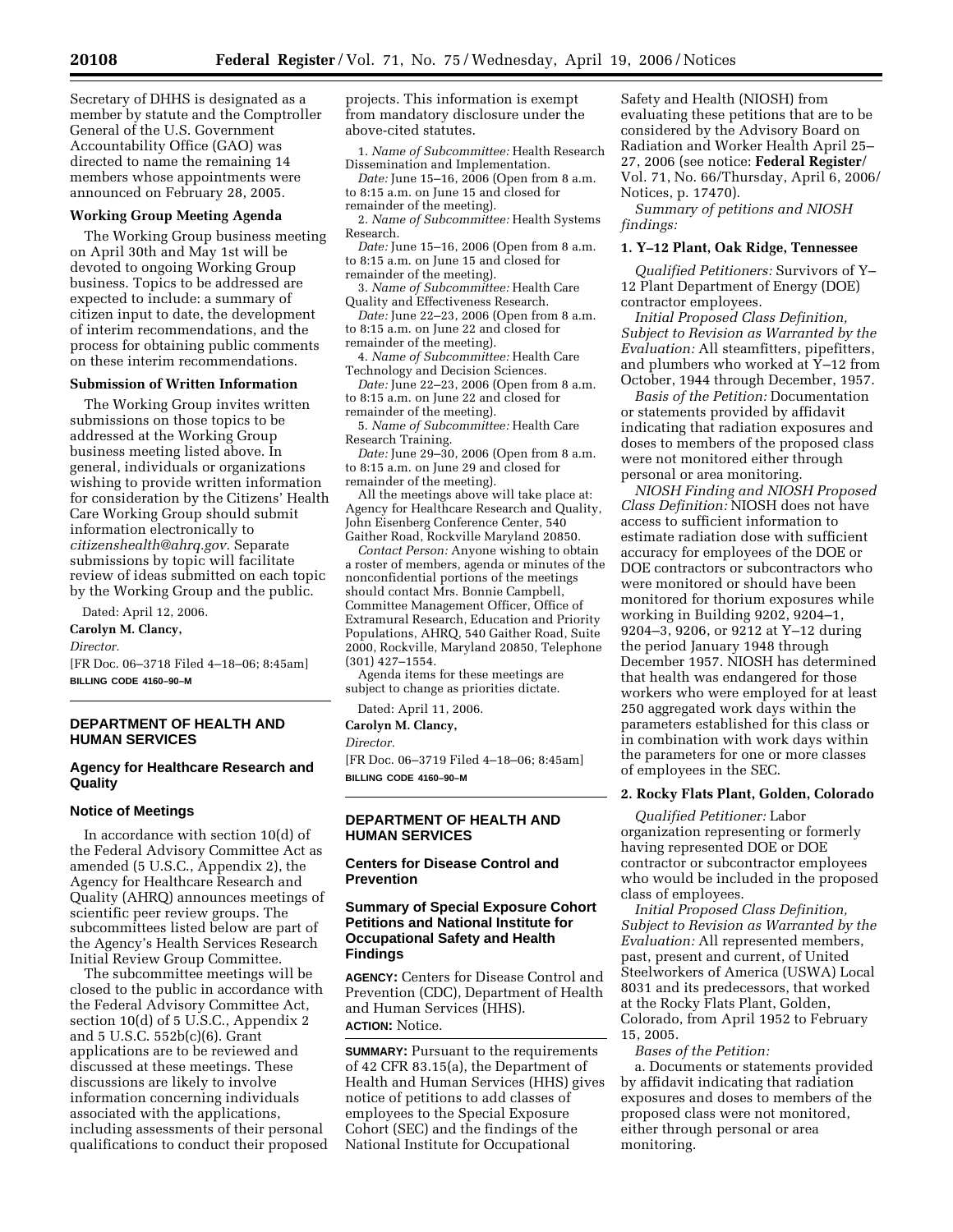Secretary of DHHS is designated as a member by statute and the Comptroller General of the U.S. Government Accountability Office (GAO) was directed to name the remaining 14 members whose appointments were announced on February 28, 2005.

#### **Working Group Meeting Agenda**

The Working Group business meeting on April 30th and May 1st will be devoted to ongoing Working Group business. Topics to be addressed are expected to include: a summary of citizen input to date, the development of interim recommendations, and the process for obtaining public comments on these interim recommendations.

# **Submission of Written Information**

The Working Group invites written submissions on those topics to be addressed at the Working Group business meeting listed above. In general, individuals or organizations wishing to provide written information for consideration by the Citizens' Health Care Working Group should submit information electronically to *citizenshealth@ahrq.gov.* Separate submissions by topic will facilitate review of ideas submitted on each topic by the Working Group and the public.

Dated: April 12, 2006.

**Carolyn M. Clancy,** 

*Director.* 

[FR Doc. 06–3718 Filed 4–18–06; 8:45am] **BILLING CODE 4160–90–M** 

## **DEPARTMENT OF HEALTH AND HUMAN SERVICES**

# **Agency for Healthcare Research and Quality**

# **Notice of Meetings**

In accordance with section 10(d) of the Federal Advisory Committee Act as amended (5 U.S.C., Appendix 2), the Agency for Healthcare Research and Quality (AHRQ) announces meetings of scientific peer review groups. The subcommittees listed below are part of the Agency's Health Services Research Initial Review Group Committee.

The subcommittee meetings will be closed to the public in accordance with the Federal Advisory Committee Act, section 10(d) of 5 U.S.C., Appendix 2 and 5 U.S.C. 552b(c)(6). Grant applications are to be reviewed and discussed at these meetings. These discussions are likely to involve information concerning individuals associated with the applications, including assessments of their personal qualifications to conduct their proposed projects. This information is exempt from mandatory disclosure under the above-cited statutes.

1. *Name of Subcommittee:* Health Research Dissemination and Implementation.

*Date:* June 15–16, 2006 (Open from 8 a.m. to 8:15 a.m. on June 15 and closed for remainder of the meeting).

2. *Name of Subcommittee:* Health Systems Research.

*Date:* June 15–16, 2006 (Open from 8 a.m. to 8:15 a.m. on June 15 and closed for remainder of the meeting).

3. *Name of Subcommittee:* Health Care Quality and Effectiveness Research.

*Date:* June 22–23, 2006 (Open from 8 a.m. to 8:15 a.m. on June 22 and closed for remainder of the meeting).

4. *Name of Subcommittee:* Health Care Technology and Decision Sciences.

*Date:* June 22–23, 2006 (Open from 8 a.m. to 8:15 a.m. on June 22 and closed for

remainder of the meeting). 5. *Name of Subcommittee:* Health Care

Research Training.

*Date:* June 29–30, 2006 (Open from 8 a.m. to 8:15 a.m. on June 29 and closed for remainder of the meeting).

All the meetings above will take place at: Agency for Healthcare Research and Quality, John Eisenberg Conference Center, 540 Gaither Road, Rockville Maryland 20850.

*Contact Person:* Anyone wishing to obtain a roster of members, agenda or minutes of the nonconfidential portions of the meetings should contact Mrs. Bonnie Campbell, Committee Management Officer, Office of Extramural Research, Education and Priority Populations, AHRQ, 540 Gaither Road, Suite 2000, Rockville, Maryland 20850, Telephone (301) 427–1554.

Agenda items for these meetings are subject to change as priorities dictate.

Dated: April 11, 2006.

**Carolyn M. Clancy,** 

*Director.* 

[FR Doc. 06–3719 Filed 4–18–06; 8:45am] **BILLING CODE 4160–90–M** 

# **DEPARTMENT OF HEALTH AND HUMAN SERVICES**

# **Centers for Disease Control and Prevention**

# **Summary of Special Exposure Cohort Petitions and National Institute for Occupational Safety and Health Findings**

**AGENCY:** Centers for Disease Control and Prevention (CDC), Department of Health and Human Services (HHS). **ACTION:** Notice.

**SUMMARY:** Pursuant to the requirements of 42 CFR 83.15(a), the Department of Health and Human Services (HHS) gives notice of petitions to add classes of employees to the Special Exposure Cohort (SEC) and the findings of the National Institute for Occupational

Safety and Health (NIOSH) from evaluating these petitions that are to be considered by the Advisory Board on Radiation and Worker Health April 25– 27, 2006 (see notice: **Federal Register**/ Vol. 71, No. 66/Thursday, April 6, 2006/ Notices, p. 17470).

*Summary of petitions and NIOSH findings:* 

#### **1. Y–12 Plant, Oak Ridge, Tennessee**

*Qualified Petitioners:* Survivors of Y– 12 Plant Department of Energy (DOE) contractor employees.

*Initial Proposed Class Definition, Subject to Revision as Warranted by the Evaluation:* All steamfitters, pipefitters, and plumbers who worked at Y–12 from October, 1944 through December, 1957.

*Basis of the Petition:* Documentation or statements provided by affidavit indicating that radiation exposures and doses to members of the proposed class were not monitored either through personal or area monitoring.

*NIOSH Finding and NIOSH Proposed Class Definition:* NIOSH does not have access to sufficient information to estimate radiation dose with sufficient accuracy for employees of the DOE or DOE contractors or subcontractors who were monitored or should have been monitored for thorium exposures while working in Building 9202, 9204–1, 9204–3, 9206, or 9212 at Y–12 during the period January 1948 through December 1957. NIOSH has determined that health was endangered for those workers who were employed for at least 250 aggregated work days within the parameters established for this class or in combination with work days within the parameters for one or more classes of employees in the SEC.

# **2. Rocky Flats Plant, Golden, Colorado**

*Qualified Petitioner:* Labor organization representing or formerly having represented DOE or DOE contractor or subcontractor employees who would be included in the proposed class of employees.

*Initial Proposed Class Definition, Subject to Revision as Warranted by the Evaluation:* All represented members, past, present and current, of United Steelworkers of America (USWA) Local 8031 and its predecessors, that worked at the Rocky Flats Plant, Golden, Colorado, from April 1952 to February 15, 2005.

*Bases of the Petition:* 

a. Documents or statements provided by affidavit indicating that radiation exposures and doses to members of the proposed class were not monitored, either through personal or area monitoring.